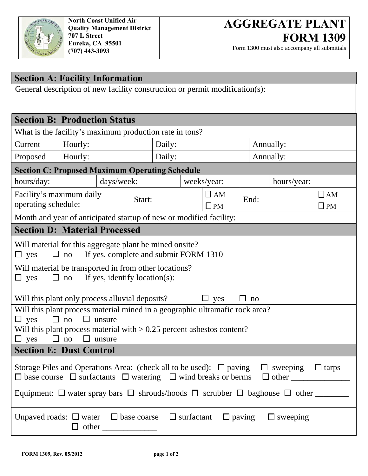

Form 1300 must also accompany all submittals

| <b>Section A: Facility Information</b>                                                                                   |                                                                    |            |        |  |              |           |             |              |  |
|--------------------------------------------------------------------------------------------------------------------------|--------------------------------------------------------------------|------------|--------|--|--------------|-----------|-------------|--------------|--|
| General description of new facility construction or permit modification(s):                                              |                                                                    |            |        |  |              |           |             |              |  |
|                                                                                                                          |                                                                    |            |        |  |              |           |             |              |  |
|                                                                                                                          | <b>Section B: Production Status</b>                                |            |        |  |              |           |             |              |  |
|                                                                                                                          | What is the facility's maximum production rate in tons?            |            |        |  |              |           |             |              |  |
| Current                                                                                                                  | Hourly:                                                            |            | Daily: |  |              |           | Annually:   |              |  |
| Proposed                                                                                                                 | Hourly:                                                            |            | Daily: |  |              | Annually: |             |              |  |
|                                                                                                                          | <b>Section C: Proposed Maximum Operating Schedule</b>              |            |        |  |              |           |             |              |  |
| hours/day:                                                                                                               |                                                                    | days/week: |        |  | weeks/year:  |           | hours/year: |              |  |
| Facility's maximum daily                                                                                                 |                                                                    | Start:     |        |  | $\Box$ AM    | End:      |             | $\Box$ AM    |  |
| operating schedule:                                                                                                      |                                                                    |            |        |  | $\square$ PM |           |             | $\square$ PM |  |
|                                                                                                                          | Month and year of anticipated startup of new or modified facility: |            |        |  |              |           |             |              |  |
|                                                                                                                          | <b>Section D: Material Processed</b>                               |            |        |  |              |           |             |              |  |
|                                                                                                                          | Will material for this aggregate plant be mined onsite?            |            |        |  |              |           |             |              |  |
| If yes, complete and submit FORM 1310<br>$\Box$ yes<br>ப<br>no                                                           |                                                                    |            |        |  |              |           |             |              |  |
| Will material be transported in from other locations?                                                                    |                                                                    |            |        |  |              |           |             |              |  |
| $\Box$ yes<br>$\Box$                                                                                                     | If yes, identify location(s):<br>no                                |            |        |  |              |           |             |              |  |
|                                                                                                                          | Will this plant only process alluvial deposits?                    |            |        |  | yes<br>⊔     | $\Box$ no |             |              |  |
| Will this plant process material mined in a geographic ultramafic rock area?                                             |                                                                    |            |        |  |              |           |             |              |  |
| □<br>yes<br>no<br>unsure<br>$\mathsf{L}$                                                                                 |                                                                    |            |        |  |              |           |             |              |  |
| Will this plant process material with $> 0.25$ percent asbestos content?<br>П<br>$\Box$<br>$\Box$<br>yes<br>no<br>unsure |                                                                    |            |        |  |              |           |             |              |  |
| <b>Section E: Dust Control</b>                                                                                           |                                                                    |            |        |  |              |           |             |              |  |
| Storage Piles and Operations Area: (check all to be used): $\Box$ paving<br>$\Box$ sweeping $\Box$ tarps                 |                                                                    |            |        |  |              |           |             |              |  |
| Equipment: $\Box$ water spray bars $\Box$ shrouds/hoods $\Box$ scrubber $\Box$ baghouse $\Box$ other                     |                                                                    |            |        |  |              |           |             |              |  |
| Unpaved roads: $\Box$ water $\Box$ base coarse $\Box$ surfactant<br>$\Box$ paving<br>$\Box$ sweeping                     |                                                                    |            |        |  |              |           |             |              |  |